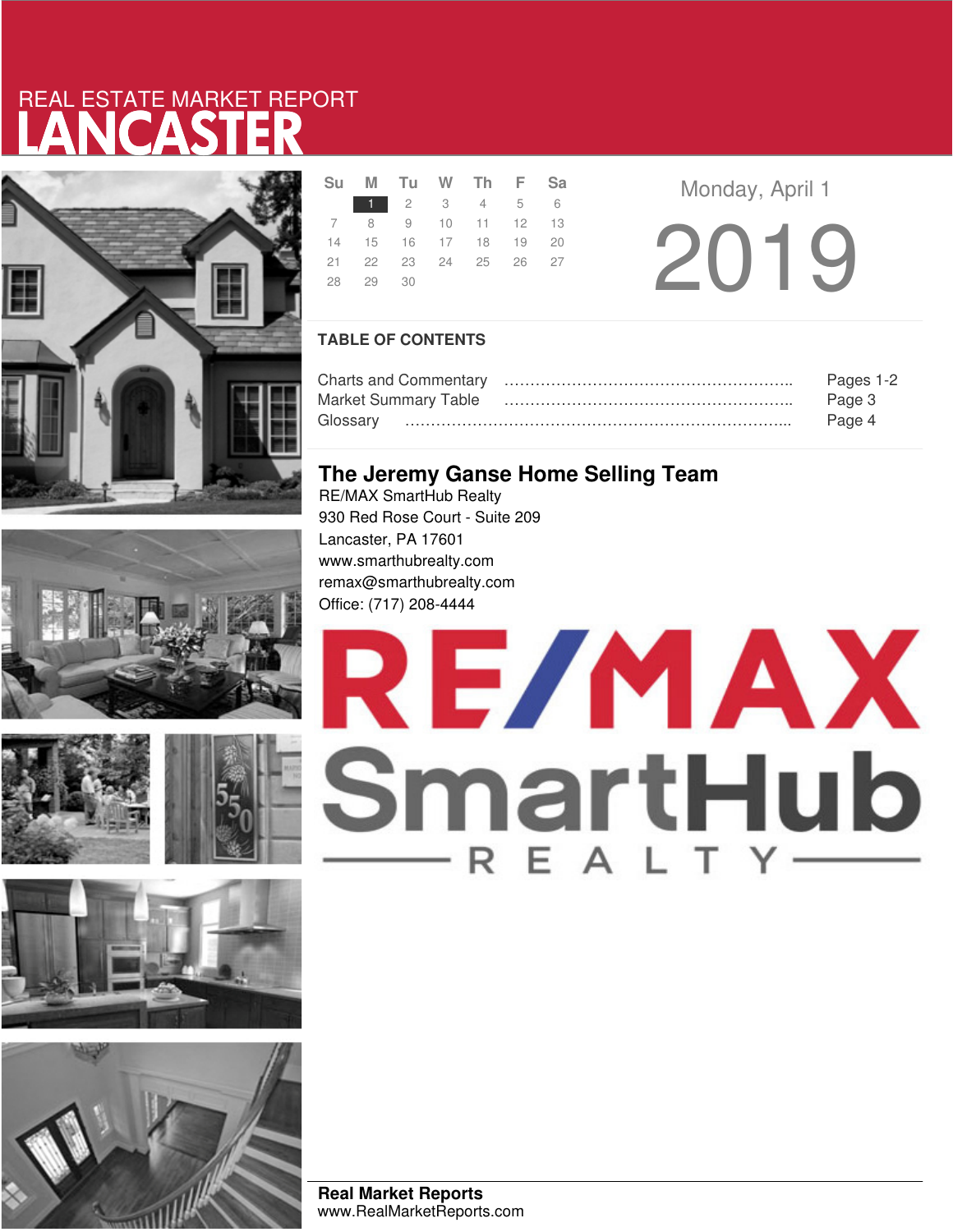# LANCASTER REAL ESTATE MARKET REPORT







| Su M Tu W Th F Sa          |  |             |  |
|----------------------------|--|-------------|--|
|                            |  | 1 2 3 4 5 6 |  |
| 7 8 9 10 11 12 13          |  |             |  |
| 14  15  16  17  18  19  20 |  |             |  |
| 21  22  23  24  25  26  27 |  |             |  |
| 28 29 30                   |  |             |  |

2019 **Monday, April 1** 

### **TABLE OF CONTENTS**

|                             | Pages 1-2 |
|-----------------------------|-----------|
| <b>Market Summary Table</b> | Page 3    |
|                             | Page 4    |

### **The Jeremy Ganse Home Selling Team**

RE/MAX SmartHub Realty 930 Red Rose Court - Suite 209 Lancaster, PA 17601 www.smarthubrealty.com remax@smarthubrealty.com Office: (717) 208-4444



**Real Market Reports** www.RealMarketReports.com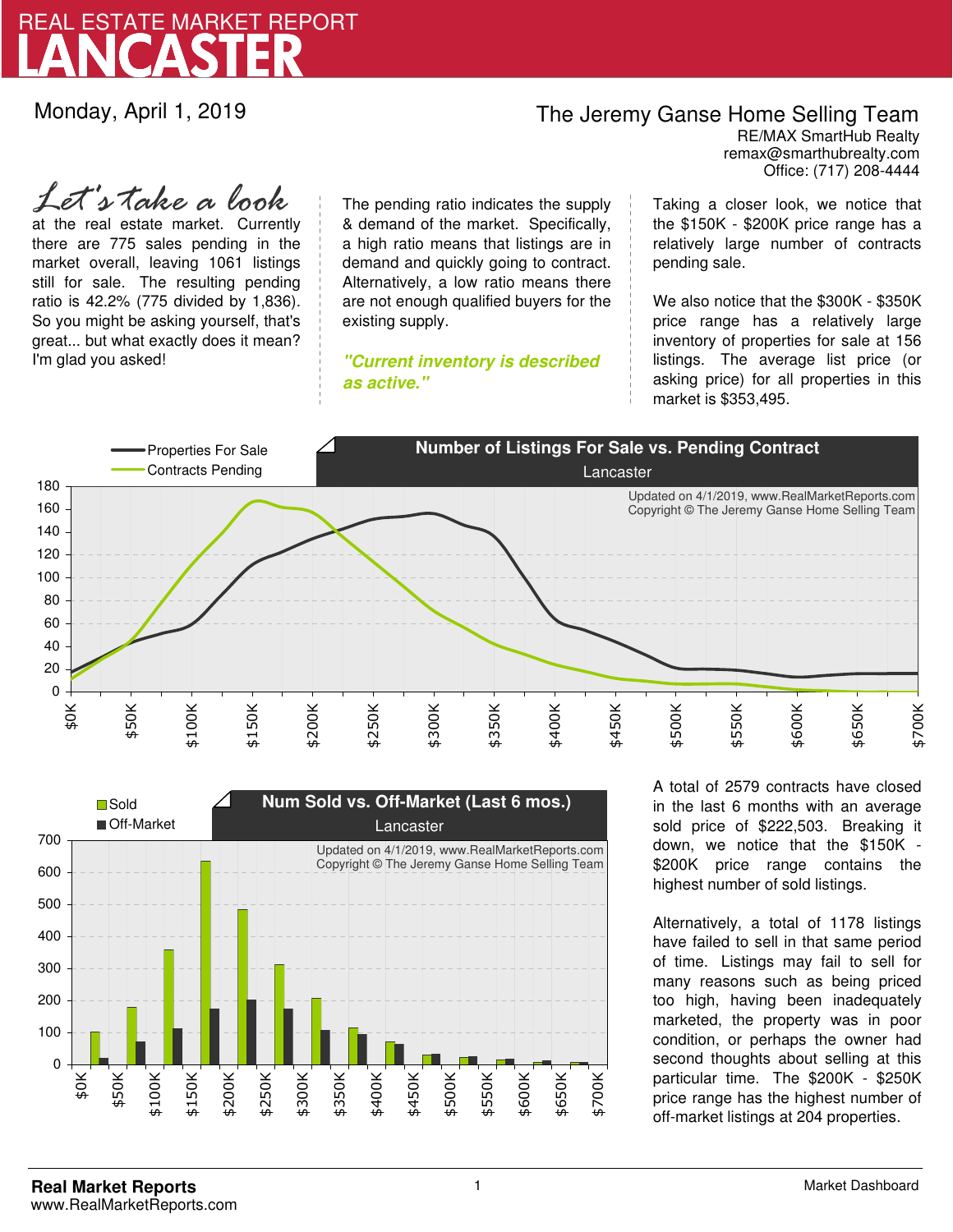

Monday, April 1, 2019

## The Jeremy Ganse Home Selling Team

remax@smarthubrealty.com RE/MAX SmartHub Realty Office: (717) 208-4444

at the real estate market. Currently there are 775 sales pending in the market overall, leaving 1061 listings still for sale. The resulting pending ratio is 42.2% (775 divided by 1,836). So you might be asking yourself, that's great... but what exactly does it mean? I'm glad you asked! *Let's take a look*

The pending ratio indicates the supply & demand of the market. Specifically, a high ratio means that listings are in demand and quickly going to contract. Alternatively, a low ratio means there are not enough qualified buyers for the existing supply.

**"Current inventory is described as active."**

Taking a closer look, we notice that the \$150K - \$200K price range has a relatively large number of contracts pending sale.

We also notice that the \$300K - \$350K price range has a relatively large inventory of properties for sale at 156 listings. The average list price (or asking price) for all properties in this market is \$353,495.





A total of 2579 contracts have closed in the last 6 months with an average sold price of \$222,503. Breaking it down, we notice that the \$150K - \$200K price range contains the highest number of sold listings.

Alternatively, a total of 1178 listings have failed to sell in that same period of time. Listings may fail to sell for many reasons such as being priced too high, having been inadequately marketed, the property was in poor condition, or perhaps the owner had second thoughts about selling at this particular time. The \$200K - \$250K price range has the highest number of off-market listings at 204 properties.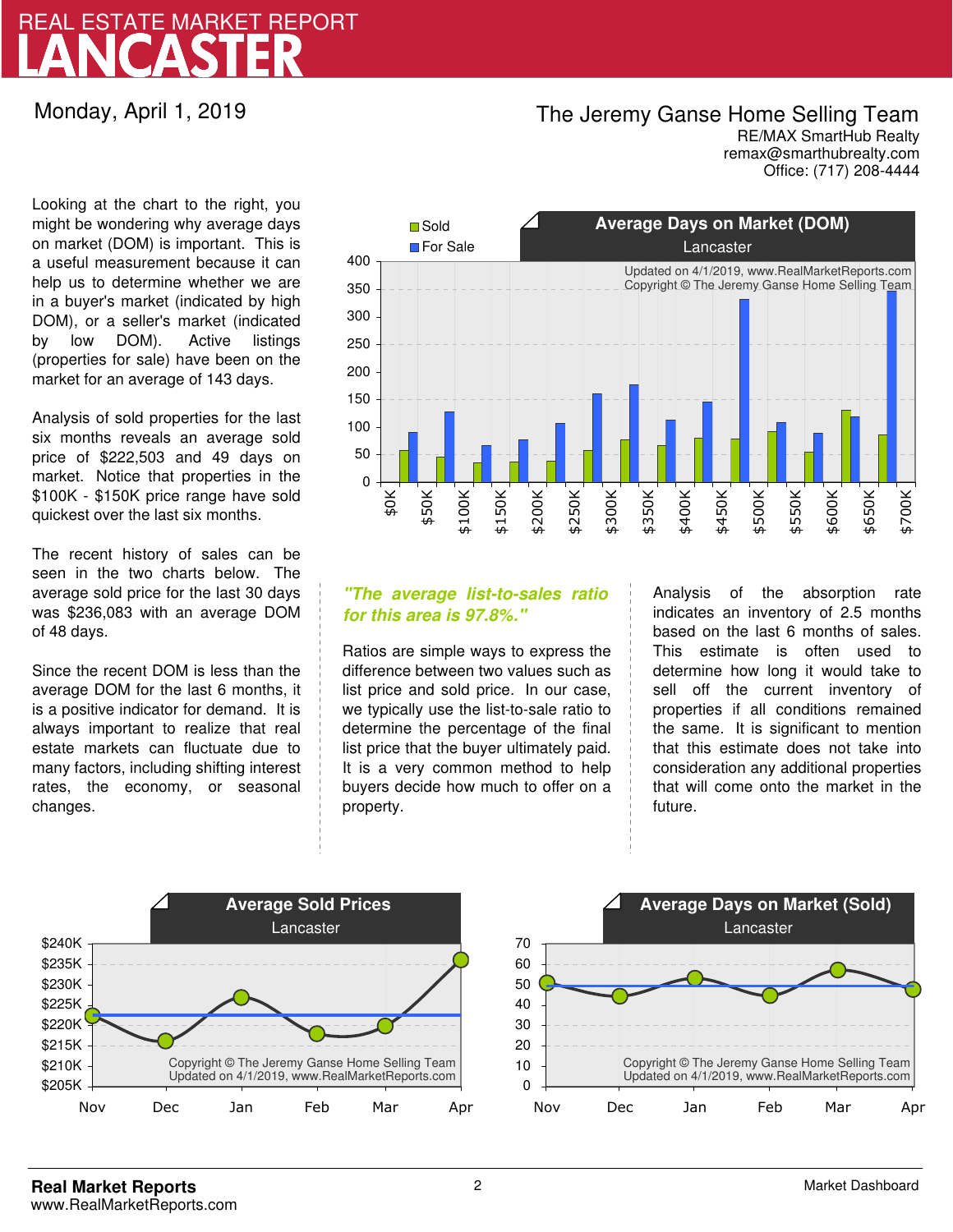## LANCASTER REAL ESTATE MARKET REPORT

Monday, April 1, 2019

### The Jeremy Ganse Home Selling Team

remax@smarthubrealty.com RE/MAX SmartHub Realty Office: (717) 208-4444

Looking at the chart to the right, you might be wondering why average days on market (DOM) is important. This is a useful measurement because it can help us to determine whether we are in a buyer's market (indicated by high DOM), or a seller's market (indicated by low DOM). Active listings (properties for sale) have been on the market for an average of 143 days.

Analysis of sold properties for the last six months reveals an average sold price of \$222,503 and 49 days on market. Notice that properties in the \$100K - \$150K price range have sold quickest over the last six months.

The recent history of sales can be seen in the two charts below. The average sold price for the last 30 days was \$236,083 with an average DOM of 48 days.

Since the recent DOM is less than the average DOM for the last 6 months, it is a positive indicator for demand. It is always important to realize that real estate markets can fluctuate due to many factors, including shifting interest rates, the economy, or seasonal changes.



### **"The average list-to-sales ratio for this area is 97.8%."**

Ratios are simple ways to express the difference between two values such as list price and sold price. In our case, we typically use the list-to-sale ratio to determine the percentage of the final list price that the buyer ultimately paid. It is a very common method to help buyers decide how much to offer on a property.

Analysis of the absorption rate indicates an inventory of 2.5 months based on the last 6 months of sales. This estimate is often used to determine how long it would take to sell off the current inventory of properties if all conditions remained the same. It is significant to mention that this estimate does not take into consideration any additional properties that will come onto the market in the future.



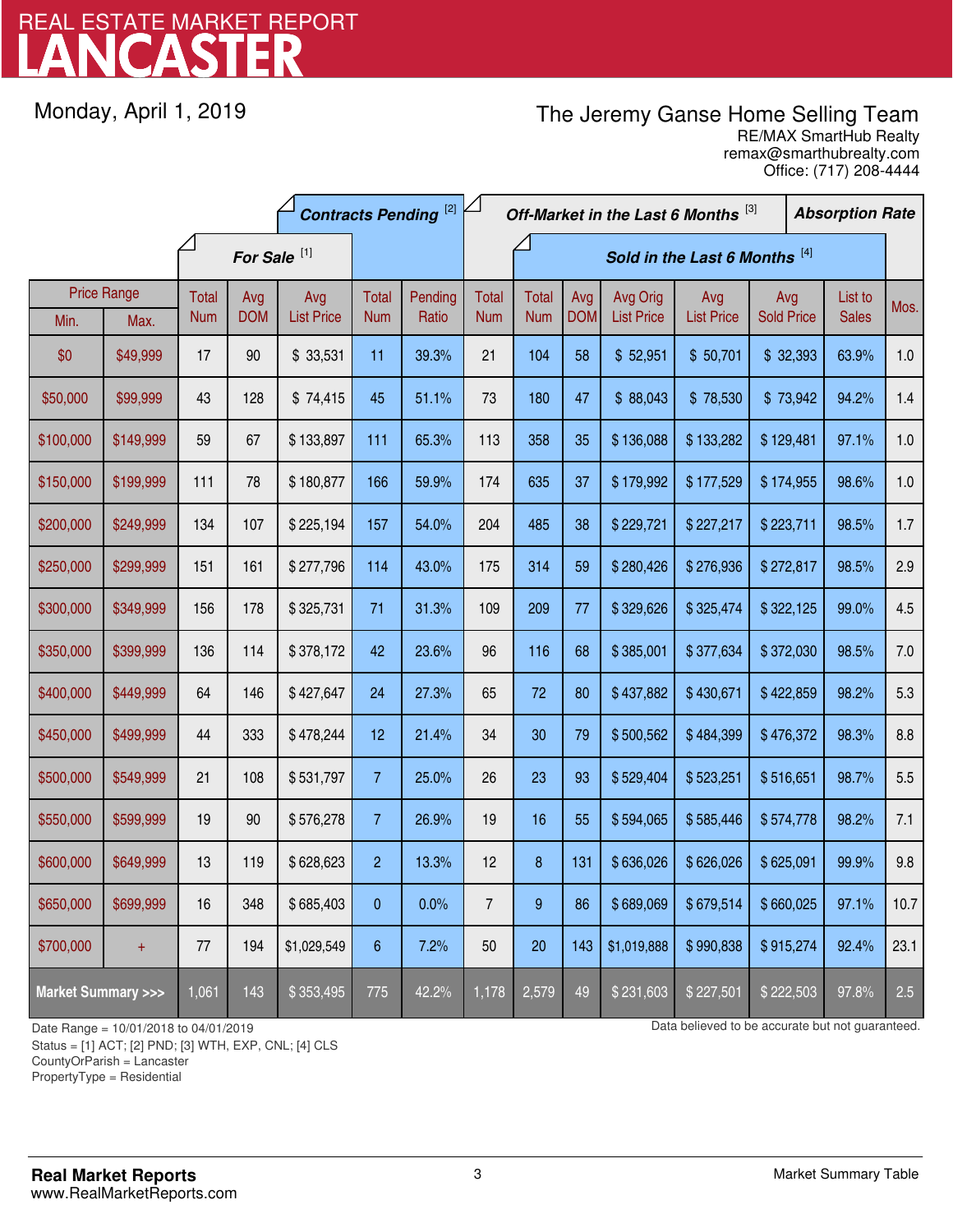## LANCASTER REAL ESTATE MARKET REPORT

Monday, April 1, 2019

### The Jeremy Ganse Home Selling Team

remax@smarthubrealty.com RE/MAX SmartHub Realty Office: (717) 208-4444

|                                    |                            | <b>Contracts Pending [2]</b> |                         |                          |                     | Off-Market in the Last 6 Months [3] |                            |                               |                   |                               | <b>Absorption Rate</b>   |           |                          |                       |      |       |     |
|------------------------------------|----------------------------|------------------------------|-------------------------|--------------------------|---------------------|-------------------------------------|----------------------------|-------------------------------|-------------------|-------------------------------|--------------------------|-----------|--------------------------|-----------------------|------|-------|-----|
|                                    |                            |                              | For Sale <sup>[1]</sup> |                          |                     |                                     |                            | Sold in the Last 6 Months [4] |                   |                               |                          |           |                          |                       |      |       |     |
| Min.                               | <b>Price Range</b><br>Max. | Total<br><b>Num</b>          | Avg<br><b>DOM</b>       | Avg<br><b>List Price</b> | Total<br><b>Num</b> | Pending<br>Ratio                    | <b>Total</b><br><b>Num</b> | Total<br><b>Num</b>           | Avg<br><b>DOM</b> | Avg Orig<br><b>List Price</b> | Avg<br><b>List Price</b> |           | Avg<br><b>Sold Price</b> |                       | Mos. |       |     |
| \$0                                | \$49,999                   | 17                           | 90                      | \$33,531                 | 11                  | 39.3%                               | 21                         | 104                           | 58                | \$52,951                      | \$50,701                 | \$32,393  |                          | <b>Sales</b><br>63.9% | 1.0  |       |     |
| \$50,000                           | \$99,999                   | 43                           | 128                     | \$74,415                 | 45                  | 51.1%                               | 73                         | 180                           | 47                | \$88,043                      | \$78,530                 | \$73,942  |                          | 94.2%                 | 1.4  |       |     |
| \$100,000                          | \$149,999                  | 59                           | 67                      | \$133,897                | 111                 | 65.3%                               | 113                        | 358                           | 35                | \$136,088                     | \$133,282                | \$129,481 |                          | 97.1%                 | 1.0  |       |     |
| \$150,000                          | \$199,999                  | 111                          | 78                      | \$180,877                | 166                 | 59.9%                               | 174                        | 635                           | 37                | \$179,992                     | \$177,529                | \$174,955 |                          | 98.6%                 | 1.0  |       |     |
| \$200,000                          | \$249,999                  | 134                          | 107                     | \$225,194                | 157                 | 54.0%                               | 204                        | 485                           | 38                | \$229,721                     | \$227,217                | \$223,711 |                          |                       |      | 98.5% | 1.7 |
| \$250,000                          | \$299,999                  | 151                          | 161                     | \$277,796                | 114                 | 43.0%                               | 175                        | 314                           | 59                | \$280,426                     | \$276,936                | \$272,817 |                          | 98.5%                 | 2.9  |       |     |
| \$300,000                          | \$349,999                  | 156                          | 178                     | \$325,731                | 71                  | 31.3%                               | 109                        | 209                           | 77                | \$329,626                     | \$325,474                | \$322,125 |                          | 99.0%                 | 4.5  |       |     |
| \$350,000                          | \$399,999                  | 136                          | 114                     | \$378,172                | 42                  | 23.6%                               | 96                         | 116                           | 68                | \$385,001                     | \$377,634                | \$372,030 |                          | 98.5%                 | 7.0  |       |     |
| \$400,000                          | \$449,999                  | 64                           | 146                     | \$427,647                | 24                  | 27.3%                               | 65                         | 72                            | 80                | \$437,882                     | \$430,671                | \$422,859 |                          | 98.2%                 | 5.3  |       |     |
| \$450,000                          | \$499,999                  | 44                           | 333                     | \$478,244                | 12                  | 21.4%                               | 34                         | 30                            | 79                | \$500,562                     | \$484,399                | \$476,372 |                          | 98.3%                 | 8.8  |       |     |
| \$500,000                          | \$549,999                  | 21                           | 108                     | \$531,797                | $\overline{7}$      | 25.0%                               | 26                         | 23                            | 93                | \$529,404                     | \$523,251                | \$516,651 |                          | 98.7%                 | 5.5  |       |     |
| \$550,000                          | \$599,999                  | 19                           | 90                      | \$576,278                | $\overline{7}$      | 26.9%                               | 19                         | 16                            | 55                | \$594,065                     | \$585,446                | \$574,778 |                          | 98.2%                 | 7.1  |       |     |
| \$600,000                          | \$649,999                  | 13                           | 119                     | \$628,623                | $\overline{c}$      | 13.3%                               | 12                         | 8                             | 131               | \$636,026                     | \$626,026                | \$625,091 |                          | 99.9%                 | 9.8  |       |     |
| \$650,000                          | \$699,999                  | 16                           | 348                     | \$685,403                | 0                   | 0.0%                                | $\overline{7}$             | 9                             | 86                | \$689,069                     | \$679,514                | \$660,025 |                          | 97.1%                 | 10.7 |       |     |
| \$700,000                          | $\ddot{}$                  | $77\,$                       | 194                     | \$1,029,549              | 6                   | 7.2%                                | 50                         | 20                            | 143               | \$1,019,888                   | \$990,838                | \$915,274 |                          | 92.4%                 | 23.1 |       |     |
| <b>Market Summary &gt;&gt;&gt;</b> |                            | 1,061                        | 143                     | \$353,495                | 775                 | 42.2%                               | 1,178                      | 2,579                         | 49                | \$231,603                     | \$227,501                | \$222,503 |                          | 97.8%                 | 2.5  |       |     |

Status = [1] ACT; [2] PND; [3] WTH, EXP, CNL; [4] CLS

CountyOrParish = Lancaster

PropertyType = Residential

1

Date Range = 10/01/2018 to 04/01/2019 Data believed to be accurate but not guaranteed.